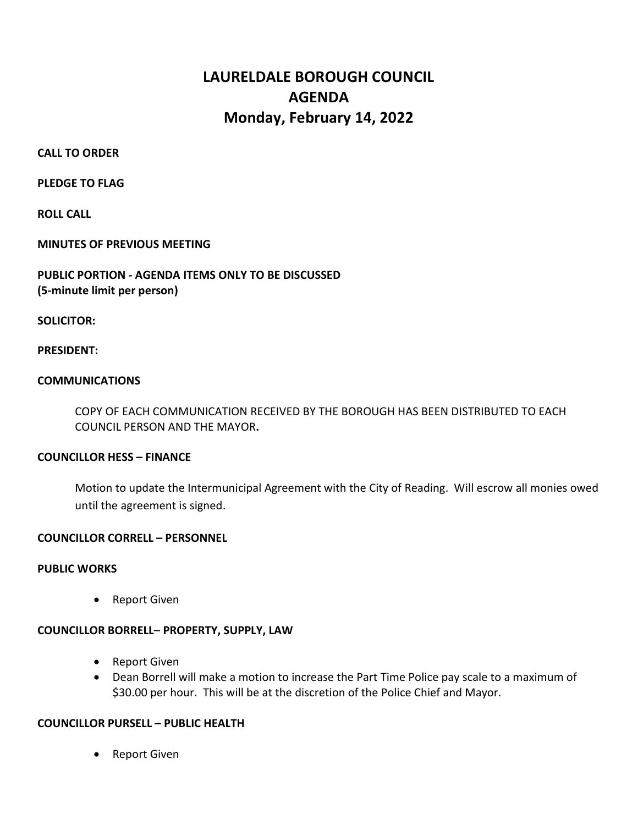# LAURELDALE BOROUGH COUNCIL AGENDA Monday, February 14, 2022

### CALL TO ORDER

PLEDGE TO FLAG

ROLL CALL

MINUTES OF PREVIOUS MEETING

PUBLIC PORTION - AGENDA ITEMS ONLY TO BE DISCUSSED (5-minute limit per person)

SOLICITOR:

### PRESIDENT:

### **COMMUNICATIONS**

 COPY OF EACH COMMUNICATION RECEIVED BY THE BOROUGH HAS BEEN DISTRIBUTED TO EACH COUNCIL PERSON AND THE MAYOR.

### COUNCILLOR HESS – FINANCE

Motion to update the Intermunicipal Agreement with the City of Reading. Will escrow all monies owed until the agreement is signed.

### COUNCILLOR CORRELL – PERSONNEL

### PUBLIC WORKS

• Report Given

### COUNCILLOR BORRELL– PROPERTY, SUPPLY, LAW

- Report Given
- Dean Borrell will make a motion to increase the Part Time Police pay scale to a maximum of \$30.00 per hour. This will be at the discretion of the Police Chief and Mayor.

### COUNCILLOR PURSELL – PUBLIC HEALTH

• Report Given